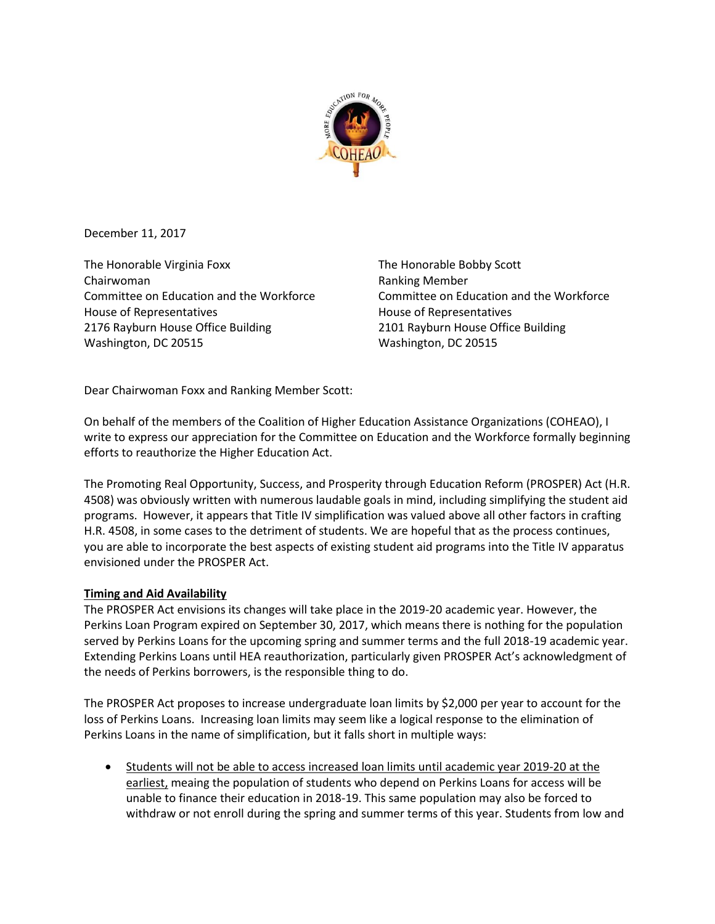

December 11, 2017

The Honorable Virginia Foxx Chairwoman Committee on Education and the Workforce House of Representatives 2176 Rayburn House Office Building Washington, DC 20515

The Honorable Bobby Scott Ranking Member Committee on Education and the Workforce House of Representatives 2101 Rayburn House Office Building Washington, DC 20515

Dear Chairwoman Foxx and Ranking Member Scott:

On behalf of the members of the Coalition of Higher Education Assistance Organizations (COHEAO), I write to express our appreciation for the Committee on Education and the Workforce formally beginning efforts to reauthorize the Higher Education Act.

The Promoting Real Opportunity, Success, and Prosperity through Education Reform (PROSPER) Act (H.R. 4508) was obviously written with numerous laudable goals in mind, including simplifying the student aid programs. However, it appears that Title IV simplification was valued above all other factors in crafting H.R. 4508, in some cases to the detriment of students. We are hopeful that as the process continues, you are able to incorporate the best aspects of existing student aid programs into the Title IV apparatus envisioned under the PROSPER Act.

## **Timing and Aid Availability**

The PROSPER Act envisions its changes will take place in the 2019-20 academic year. However, the Perkins Loan Program expired on September 30, 2017, which means there is nothing for the population served by Perkins Loans for the upcoming spring and summer terms and the full 2018-19 academic year. Extending Perkins Loans until HEA reauthorization, particularly given PROSPER Act's acknowledgment of the needs of Perkins borrowers, is the responsible thing to do.

The PROSPER Act proposes to increase undergraduate loan limits by \$2,000 per year to account for the loss of Perkins Loans. Increasing loan limits may seem like a logical response to the elimination of Perkins Loans in the name of simplification, but it falls short in multiple ways:

 Students will not be able to access increased loan limits until academic year 2019-20 at the earliest, meaing the population of students who depend on Perkins Loans for access will be unable to finance their education in 2018-19. This same population may also be forced to withdraw or not enroll during the spring and summer terms of this year. Students from low and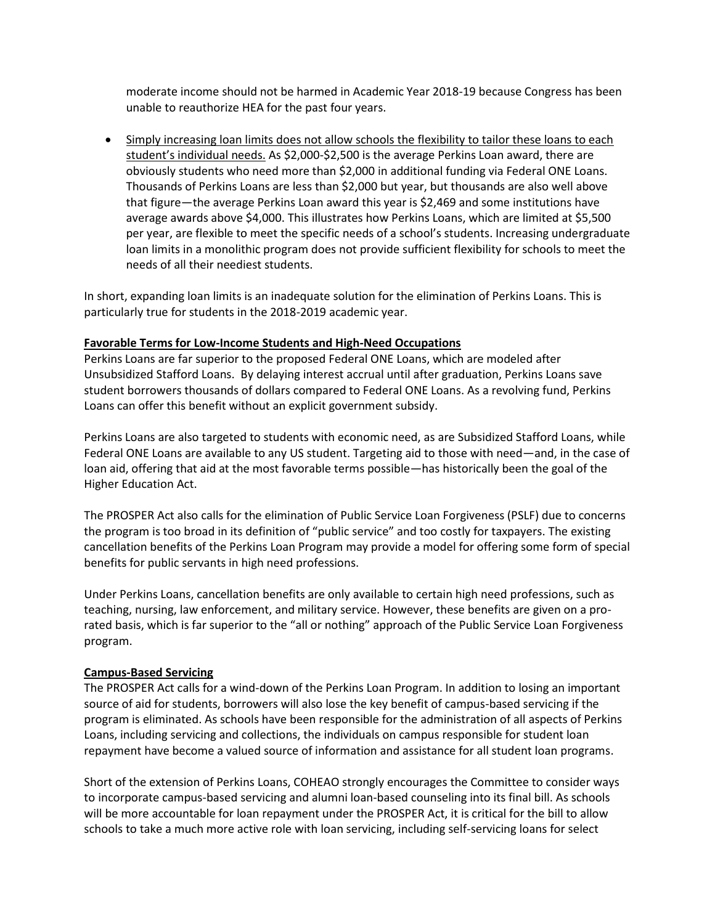moderate income should not be harmed in Academic Year 2018-19 because Congress has been unable to reauthorize HEA for the past four years.

 Simply increasing loan limits does not allow schools the flexibility to tailor these loans to each student's individual needs. As \$2,000-\$2,500 is the average Perkins Loan award, there are obviously students who need more than \$2,000 in additional funding via Federal ONE Loans. Thousands of Perkins Loans are less than \$2,000 but year, but thousands are also well above that figure—the average Perkins Loan award this year is \$2,469 and some institutions have average awards above \$4,000. This illustrates how Perkins Loans, which are limited at \$5,500 per year, are flexible to meet the specific needs of a school's students. Increasing undergraduate loan limits in a monolithic program does not provide sufficient flexibility for schools to meet the needs of all their neediest students.

In short, expanding loan limits is an inadequate solution for the elimination of Perkins Loans. This is particularly true for students in the 2018-2019 academic year.

## **Favorable Terms for Low-Income Students and High-Need Occupations**

Perkins Loans are far superior to the proposed Federal ONE Loans, which are modeled after Unsubsidized Stafford Loans. By delaying interest accrual until after graduation, Perkins Loans save student borrowers thousands of dollars compared to Federal ONE Loans. As a revolving fund, Perkins Loans can offer this benefit without an explicit government subsidy.

Perkins Loans are also targeted to students with economic need, as are Subsidized Stafford Loans, while Federal ONE Loans are available to any US student. Targeting aid to those with need—and, in the case of loan aid, offering that aid at the most favorable terms possible—has historically been the goal of the Higher Education Act.

The PROSPER Act also calls for the elimination of Public Service Loan Forgiveness (PSLF) due to concerns the program is too broad in its definition of "public service" and too costly for taxpayers. The existing cancellation benefits of the Perkins Loan Program may provide a model for offering some form of special benefits for public servants in high need professions.

Under Perkins Loans, cancellation benefits are only available to certain high need professions, such as teaching, nursing, law enforcement, and military service. However, these benefits are given on a prorated basis, which is far superior to the "all or nothing" approach of the Public Service Loan Forgiveness program.

## **Campus-Based Servicing**

The PROSPER Act calls for a wind-down of the Perkins Loan Program. In addition to losing an important source of aid for students, borrowers will also lose the key benefit of campus-based servicing if the program is eliminated. As schools have been responsible for the administration of all aspects of Perkins Loans, including servicing and collections, the individuals on campus responsible for student loan repayment have become a valued source of information and assistance for all student loan programs.

Short of the extension of Perkins Loans, COHEAO strongly encourages the Committee to consider ways to incorporate campus-based servicing and alumni loan-based counseling into its final bill. As schools will be more accountable for loan repayment under the PROSPER Act, it is critical for the bill to allow schools to take a much more active role with loan servicing, including self-servicing loans for select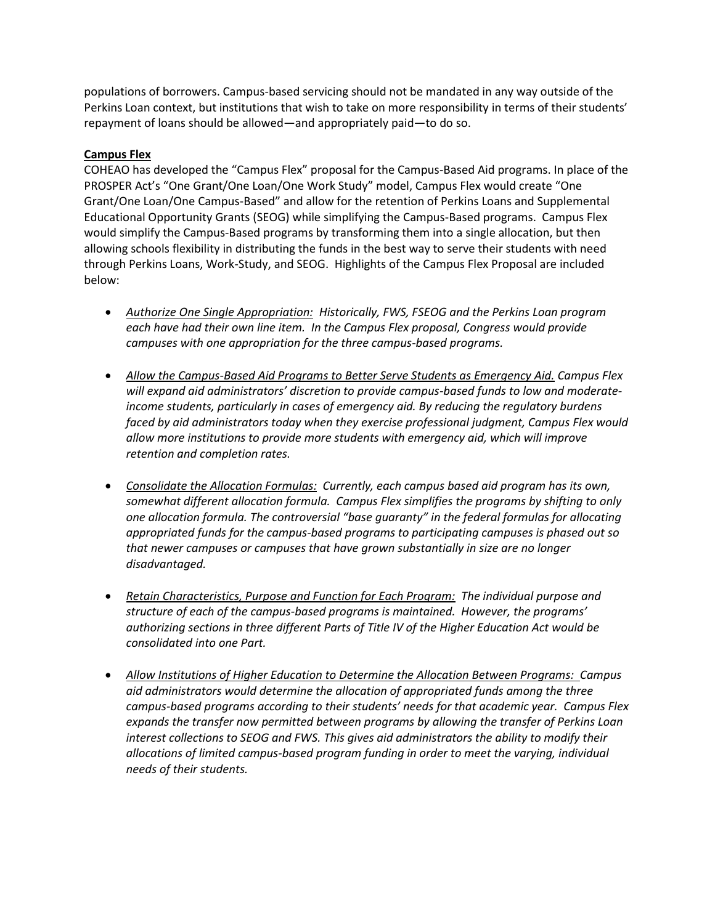populations of borrowers. Campus-based servicing should not be mandated in any way outside of the Perkins Loan context, but institutions that wish to take on more responsibility in terms of their students' repayment of loans should be allowed—and appropriately paid—to do so.

## **Campus Flex**

COHEAO has developed the "Campus Flex" proposal for the Campus-Based Aid programs. In place of the PROSPER Act's "One Grant/One Loan/One Work Study" model, Campus Flex would create "One Grant/One Loan/One Campus-Based" and allow for the retention of Perkins Loans and Supplemental Educational Opportunity Grants (SEOG) while simplifying the Campus-Based programs. Campus Flex would simplify the Campus-Based programs by transforming them into a single allocation, but then allowing schools flexibility in distributing the funds in the best way to serve their students with need through Perkins Loans, Work-Study, and SEOG. Highlights of the Campus Flex Proposal are included below:

- *Authorize One Single Appropriation: Historically, FWS, FSEOG and the Perkins Loan program each have had their own line item. In the Campus Flex proposal, Congress would provide campuses with one appropriation for the three campus-based programs.*
- *Allow the Campus-Based Aid Programs to Better Serve Students as Emergency Aid. Campus Flex will expand aid administrators' discretion to provide campus-based funds to low and moderateincome students, particularly in cases of emergency aid. By reducing the regulatory burdens faced by aid administrators today when they exercise professional judgment, Campus Flex would allow more institutions to provide more students with emergency aid, which will improve retention and completion rates.*
- *Consolidate the Allocation Formulas: Currently, each campus based aid program has its own, somewhat different allocation formula. Campus Flex simplifies the programs by shifting to only one allocation formula. The controversial "base guaranty" in the federal formulas for allocating appropriated funds for the campus-based programs to participating campuses is phased out so that newer campuses or campuses that have grown substantially in size are no longer disadvantaged.*
- *Retain Characteristics, Purpose and Function for Each Program: The individual purpose and structure of each of the campus-based programs is maintained. However, the programs' authorizing sections in three different Parts of Title IV of the Higher Education Act would be consolidated into one Part.*
- *Allow Institutions of Higher Education to Determine the Allocation Between Programs: Campus aid administrators would determine the allocation of appropriated funds among the three campus-based programs according to their students' needs for that academic year. Campus Flex expands the transfer now permitted between programs by allowing the transfer of Perkins Loan interest collections to SEOG and FWS. This gives aid administrators the ability to modify their allocations of limited campus-based program funding in order to meet the varying, individual needs of their students.*